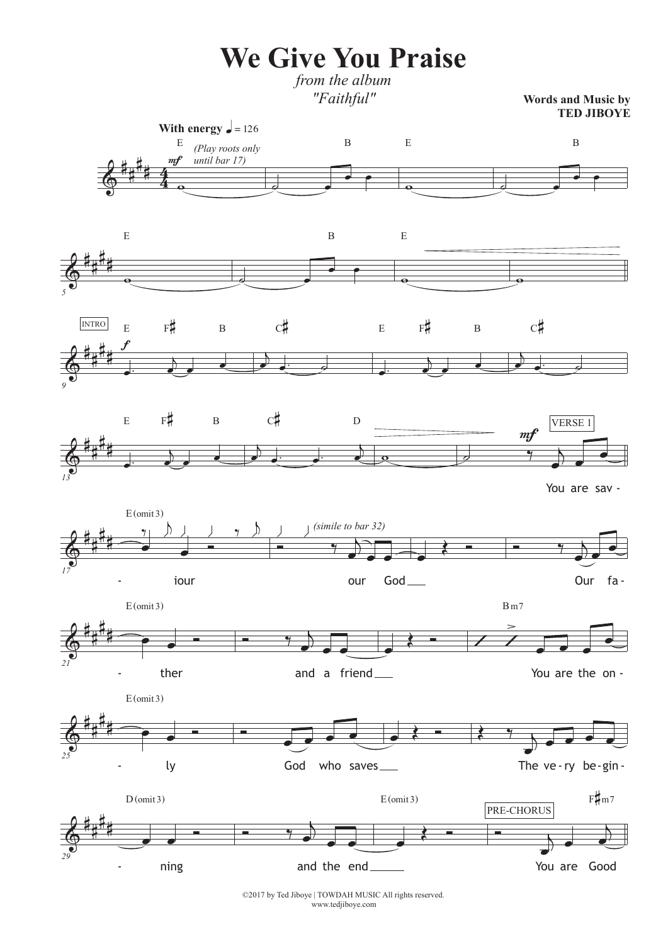**We Give You Praise**

## *from the album "Faithful"*

**Words and Music by TED JIBOYE**



©2017 by Ted Jiboye | TOWDAH MUSIC All rights reserved. www.tedjiboye.com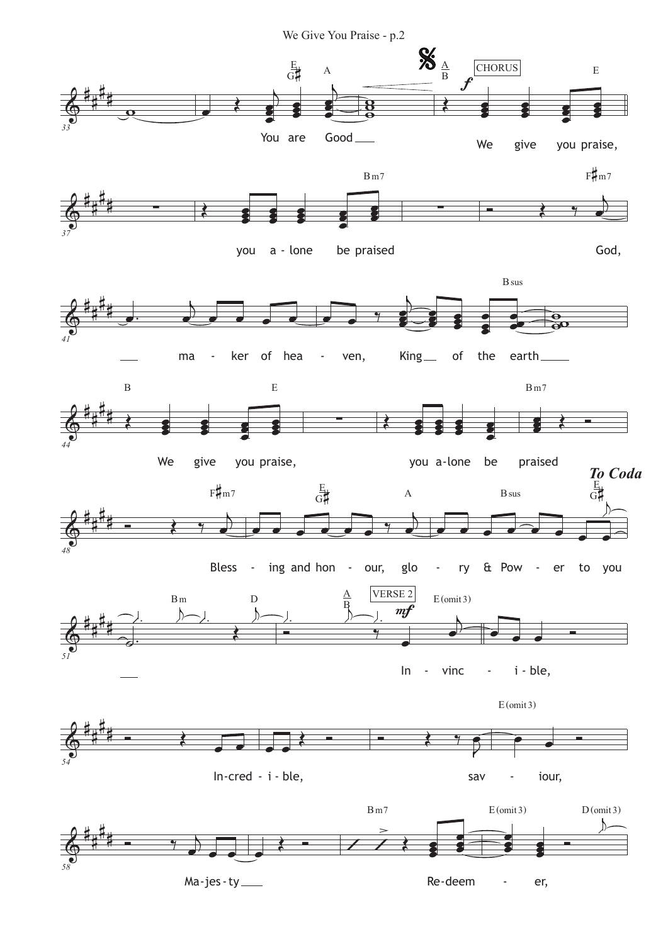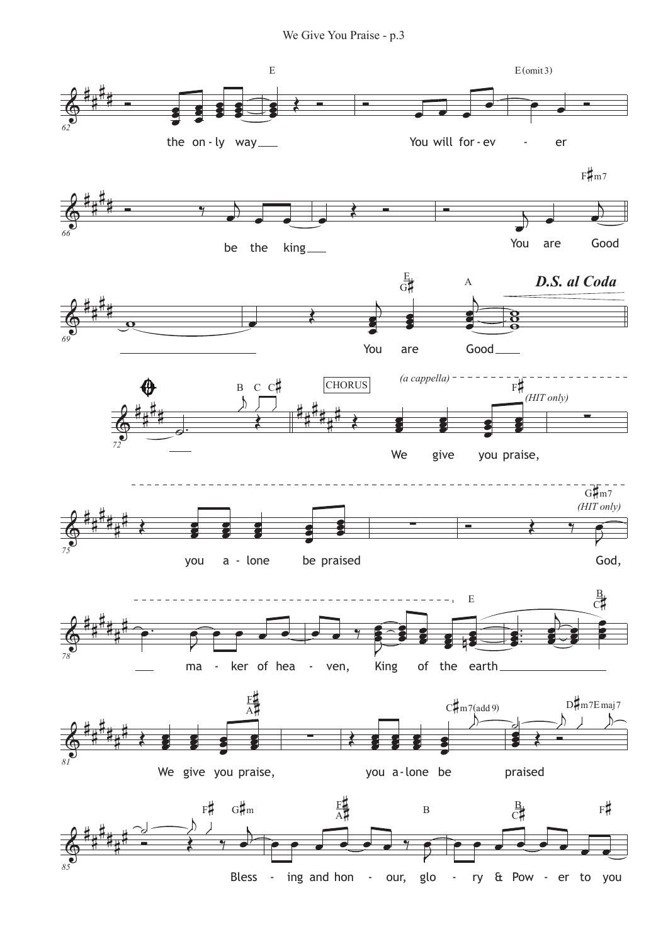We Give You Praise - p.3